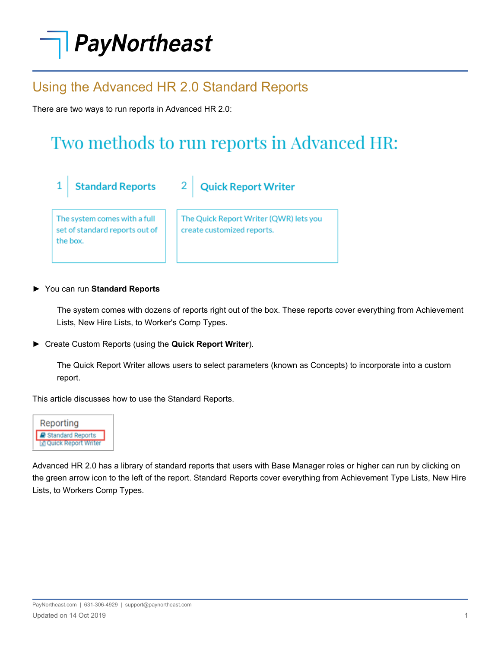# PayNortheast

### Using the Advanced HR 2.0 Standard Reports

 $\overline{2}$ 

There are two ways to run reports in Advanced HR 2.0:

## Two methods to run reports in Advanced HR:

**Standard Reports**  $\mathbf{1}$ 

The system comes with a full set of standard reports out of the box.

The Quick Report Writer (QWR) lets you create customized reports.

**Quick Report Writer** 

### ► You can run **Standard Reports**

The system comes with dozens of reports right out of the box. These reports cover everything from Achievement Lists, New Hire Lists, to Worker's Comp Types.

► Create Custom Reports (using the **Quick Report Writer**).

The Quick Report Writer allows users to select parameters (known as Concepts) to incorporate into a custom report.

This article discusses how to use the Standard Reports.



Advanced HR 2.0 has a library of standard reports that users with Base Manager roles or higher can run by clicking on the green arrow icon to the left of the report. Standard Reports cover everything from Achievement Type Lists, New Hire Lists, to Workers Comp Types.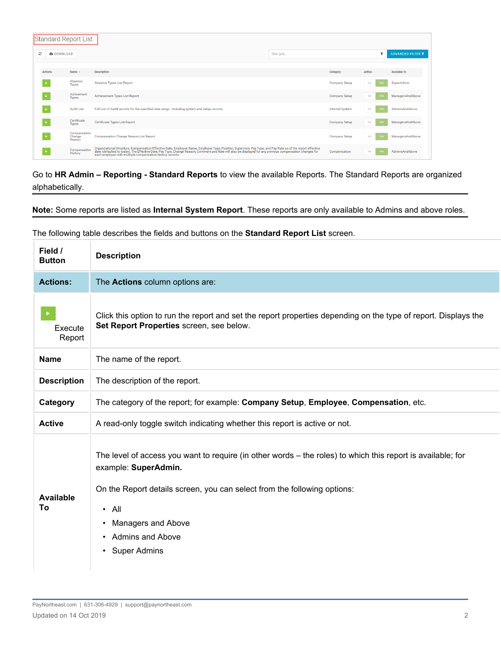|                       | Standard Report List             |                                                                                                                                                                                                                                   |                        |                   |                     |  |  |
|-----------------------|----------------------------------|-----------------------------------------------------------------------------------------------------------------------------------------------------------------------------------------------------------------------------------|------------------------|-------------------|---------------------|--|--|
| ø<br><b>ADOWNLOAD</b> |                                  | filter grid                                                                                                                                                                                                                       |                        |                   |                     |  |  |
| Actions               | Name $\sim$                      | <b>Description</b>                                                                                                                                                                                                                | Category               | Active            | <b>Available To</b> |  |  |
|                       | Absence<br>Types                 | Absence Types List Report                                                                                                                                                                                                         | <b>Company Setup</b>   | NO.<br><b>YES</b> | SuperAdmin          |  |  |
|                       | Achivement<br>Types              | Achievement Types List Report                                                                                                                                                                                                     | <b>Company Setup</b>   | NO.<br>YES        | ManagersAndAbove    |  |  |
|                       | <b>Audit List</b>                | Full List of Audit records for the specified date range - including system and setup records.                                                                                                                                     | <b>Internal System</b> | NO.<br>YES        | AdminsAndAbove      |  |  |
|                       | Certificate<br><b>Types</b>      | <b>Certificate Types List Report</b>                                                                                                                                                                                              | <b>Company Setup</b>   | NO.<br>YES        | ManagersAndAbove    |  |  |
|                       | Compensation<br>Change<br>Reason | <b>Compensation Change Reason List Report</b>                                                                                                                                                                                     | <b>Company Setup</b>   | NO.<br><b>YES</b> | ManagersAndAbove    |  |  |
|                       | Compensation<br>History          | Organizational Structure, Compensation Effective Date, Employee Name, Employee Type, Position, Supervisor, Pay Type, and Pay Rate as of the report effective<br>date (defaulted to today), The Effective Date, Pay Type, Change R | Compensation           | NO.<br>YES        | AdminsAndAbove      |  |  |

Go to **HR Admin – Reporting - Standard Reports** to view the available Reports. The Standard Reports are organized alphabetically.

**Note:** Some reports are listed as **Internal System Report**. These reports are only available to Admins and above roles.

| Field /<br><b>Button</b> | <b>Description</b>                                                                                                                                                                                                                                                                                                             |
|--------------------------|--------------------------------------------------------------------------------------------------------------------------------------------------------------------------------------------------------------------------------------------------------------------------------------------------------------------------------|
| <b>Actions:</b>          | The Actions column options are:                                                                                                                                                                                                                                                                                                |
| Execute<br>Report        | Click this option to run the report and set the report properties depending on the type of report. Displays the<br>Set Report Properties screen, see below.                                                                                                                                                                    |
| <b>Name</b>              | The name of the report.                                                                                                                                                                                                                                                                                                        |
| <b>Description</b>       | The description of the report.                                                                                                                                                                                                                                                                                                 |
| Category                 | The category of the report; for example: Company Setup, Employee, Compensation, etc.                                                                                                                                                                                                                                           |
| <b>Active</b>            | A read-only toggle switch indicating whether this report is active or not.                                                                                                                                                                                                                                                     |
| <b>Available</b><br>To   | The level of access you want to require (in other words – the roles) to which this report is available; for<br>example: SuperAdmin.<br>On the Report details screen, you can select from the following options:<br>$\cdot$ All<br>Managers and Above<br>٠<br>Admins and Above<br>$\bullet$<br><b>Super Admins</b><br>$\bullet$ |

The following table describes the fields and buttons on the **Standard Report List** screen.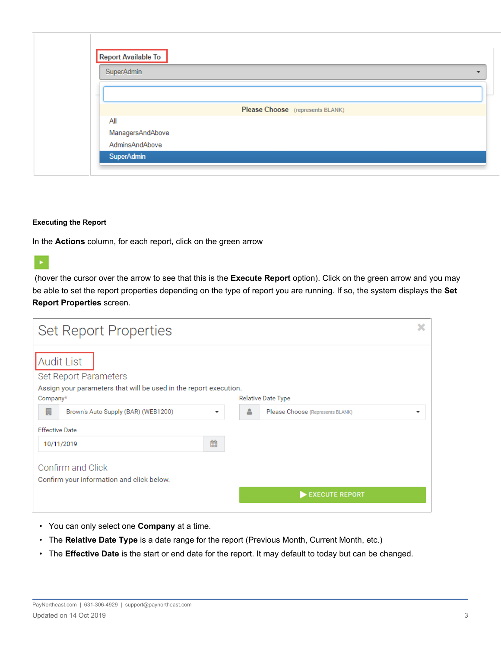| <b>Report Available To</b>       |
|----------------------------------|
| SuperAdmin                       |
|                                  |
| Please Choose (represents BLANK) |
| All                              |
| ManagersAndAbove                 |
| AdminsAndAbove                   |
| SuperAdmin                       |
|                                  |

#### **Executing the Report**

In the **Actions** column, for each report, click on the green arrow

(hover the cursor over the arrow to see that this is the **Execute Report** option). Click on the green arrow and you may be able to set the report properties depending on the type of report you are running. If so, the system displays the **Set Report Properties** screen.

| <b>Set Report Properties</b>                                                                                    |                         |   |                                       |  |
|-----------------------------------------------------------------------------------------------------------------|-------------------------|---|---------------------------------------|--|
| <b>Audit List</b><br>Set Report Parameters<br>Assign your parameters that will be used in the report execution. |                         |   |                                       |  |
| Company*                                                                                                        |                         |   | Relative Date Type                    |  |
| 圓<br>Brown's Auto Supply (BAR) (WEB1200)                                                                        | $\overline{\mathbf{v}}$ | 옵 | Please Choose (Represents BLANK)<br>▼ |  |
| <b>Effective Date</b>                                                                                           |                         |   |                                       |  |
| 10/11/2019                                                                                                      | 雦                       |   |                                       |  |
| Confirm and Click<br>Confirm your information and click below.                                                  |                         |   |                                       |  |
|                                                                                                                 |                         |   | <b>EXECUTE REPORT</b>                 |  |

- You can only select one **Company** at a time.
- The **Relative Date Type** is a date range for the report (Previous Month, Current Month, etc.)
- The **Effective Date** is the start or end date for the report. It may default to today but can be changed.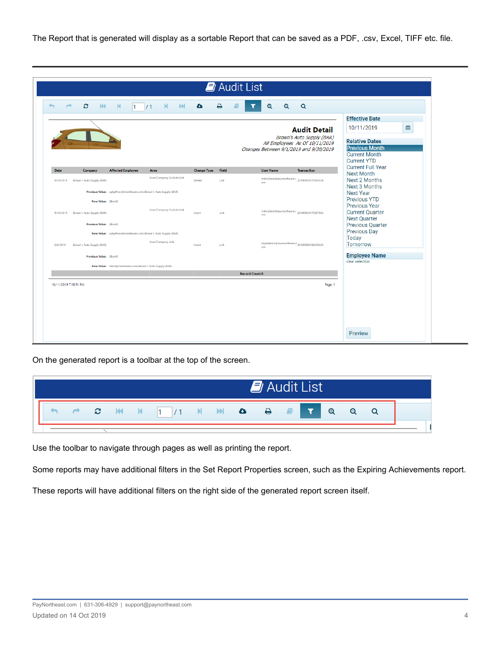The Report that is generated will display as a sortable Report that can be saved as a PDF, .csv, Excel, TIFF etc. file.

| $\rightarrow$ | Đ.<br>M                   | $-$ K<br>$\vert$ 1                                                 | M<br>M<br>/1              | ۵                  | ₿     | $\mathbf{a}$<br>$^\circledR$                        | $\alpha$                                                    |                                                                                                                          |   |
|---------------|---------------------------|--------------------------------------------------------------------|---------------------------|--------------------|-------|-----------------------------------------------------|-------------------------------------------------------------|--------------------------------------------------------------------------------------------------------------------------|---|
|               |                           |                                                                    |                           |                    |       |                                                     | <b>Audit Detail</b>                                         | <b>Effective Date</b><br>10/11/2019                                                                                      | 巤 |
|               |                           |                                                                    |                           |                    |       | Changes Between 9/1/2019 and 9/30/2019              | Brown's Auto Supply (BAR)<br>All Employees As Of 10/11/2019 | <b>Relative Dates</b><br><b>Previous Month</b><br><b>Current Month</b><br><b>Current YTD</b><br><b>Current Full Year</b> |   |
| <b>Date</b>   | Company                   | <b>Affected Employee</b>                                           | Area                      | <b>Change Type</b> | Field | <b>User Name</b>                                    | <b>Transaction</b>                                          | <b>Next Month</b>                                                                                                        |   |
| 9/10/2019     | Brown's Auto Supply (BAR) |                                                                    | User/Company Exclude Link | Delete             | Link  | mike.blake@asuresoftware.c 20190910175056324<br>nm. |                                                             | <b>Next 2 Months</b><br>Next 3 Months                                                                                    |   |
|               |                           | Previous Value: cpkpfmev@sharklasers.com/Brown's Auto Supply (BAR) |                           |                    |       |                                                     |                                                             | <b>Next Year</b>                                                                                                         |   |
|               | New Value: [Blank]        |                                                                    |                           |                    |       |                                                     |                                                             | <b>Previous YTD</b><br><b>Previous Year</b>                                                                              |   |
| 9/10/2019     | Brown's Auto Supply (BAR) |                                                                    | User/Company Exclude Link | Insert             | Link  | mike.blake@asuresoftware.c 20190910175037965<br>nm. |                                                             | <b>Current Quarter</b><br><b>Next Quarter</b>                                                                            |   |
|               | Previous Value: [Blank]   |                                                                    |                           |                    |       |                                                     |                                                             | <b>Previous Quarter</b>                                                                                                  |   |
|               |                           | New Value: cpkpfmev@sharklasers.com/Brown's Auto Supply (BAR)      |                           |                    |       |                                                     |                                                             | <b>Previous Day</b><br>Today                                                                                             |   |
| 9/6/2019      | Brown's Auto Supply (BAR) |                                                                    | User/Company Link         | Insert             | Link  | kayla.tanch@asuresoftware.c 20190906180629630<br>om |                                                             | Tomorrow                                                                                                                 |   |
|               | Previous Value: [Blank]   |                                                                    |                           |                    |       |                                                     |                                                             | <b>Employee Name</b>                                                                                                     |   |
|               |                           | New Value: ktest@sharklasers.com/Brown's Auto Supply (BAR)         |                           |                    |       |                                                     |                                                             | clear selection                                                                                                          |   |
|               |                           |                                                                    |                           |                    |       | <b>Record Count:3</b>                               |                                                             |                                                                                                                          |   |
|               | 10/11/2019 7:19:51 PM     |                                                                    |                           |                    |       |                                                     | Page: 1                                                     |                                                                                                                          |   |
|               |                           |                                                                    |                           |                    |       |                                                     |                                                             |                                                                                                                          |   |
|               |                           |                                                                    |                           |                    |       |                                                     |                                                             |                                                                                                                          |   |
|               |                           |                                                                    |                           |                    |       |                                                     |                                                             |                                                                                                                          |   |

On the generated report is a toolbar at the top of the screen.

| Audit List |  |  |  |  |                                       |  |  |  |  |  |  |                                                                                                                |  |
|------------|--|--|--|--|---------------------------------------|--|--|--|--|--|--|----------------------------------------------------------------------------------------------------------------|--|
|            |  |  |  |  | <b>P 2 K K 1 /1 K M &amp; B B Y Q</b> |  |  |  |  |  |  | e expertence de la contrata de la contrata de la contrata de la contrata de la contrata de la contrata de la c |  |
|            |  |  |  |  |                                       |  |  |  |  |  |  |                                                                                                                |  |

Use the toolbar to navigate through pages as well as printing the report.

Some reports may have additional filters in the Set Report Properties screen, such as the Expiring Achievements report.

These reports will have additional filters on the right side of the generated report screen itself.